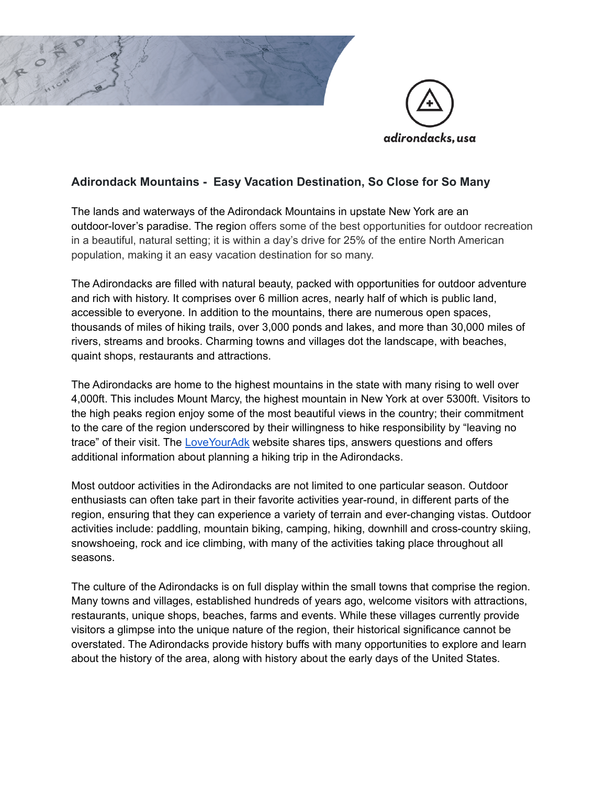

# **Adirondack Mountains - Easy Vacation Destination, So Close for So Many**

The lands and waterways of the Adirondack Mountains in upstate New York are an outdoor-lover's paradise. The region offers some of the best opportunities for outdoor recreation in a beautiful, natural setting; it is within a day's drive for 25% of the entire North American population, making it an easy vacation destination for so many.

The Adirondacks are filled with natural beauty, packed with opportunities for outdoor adventure and rich with history. It comprises over 6 million acres, nearly half of which is public land, accessible to everyone. In addition to the mountains, there are numerous open spaces, thousands of miles of hiking trails, over 3,000 ponds and lakes, and more than 30,000 miles of rivers, streams and brooks. Charming towns and villages dot the landscape, with beaches, quaint shops, restaurants and attractions.

The Adirondacks are home to the highest mountains in the state with many rising to well over 4,000ft. This includes Mount Marcy, the highest mountain in New York at over 5300ft. Visitors to the high peaks region enjoy some of the most beautiful views in the country; their commitment to the care of the region underscored by their willingness to hike responsibility by "leaving no trace" of their visit. The [LoveYourAdk](https://www.loveyouradk.org/) website shares tips, answers questions and offers additional information about planning a hiking trip in the Adirondacks.

Most outdoor activities in the Adirondacks are not limited to one particular season. Outdoor enthusiasts can often take part in their favorite activities year-round, in different parts of the region, ensuring that they can experience a variety of terrain and ever-changing vistas. Outdoor activities include: paddling, mountain biking, camping, hiking, downhill and cross-country skiing, snowshoeing, rock and ice climbing, with many of the activities taking place throughout all seasons.

The culture of the Adirondacks is on full display within the small towns that comprise the region. Many towns and villages, established hundreds of years ago, welcome visitors with attractions, restaurants, unique shops, beaches, farms and events. While these villages currently provide visitors a glimpse into the unique nature of the region, their historical significance cannot be overstated. The Adirondacks provide history buffs with many opportunities to explore and learn about the history of the area, along with history about the early days of the United States.